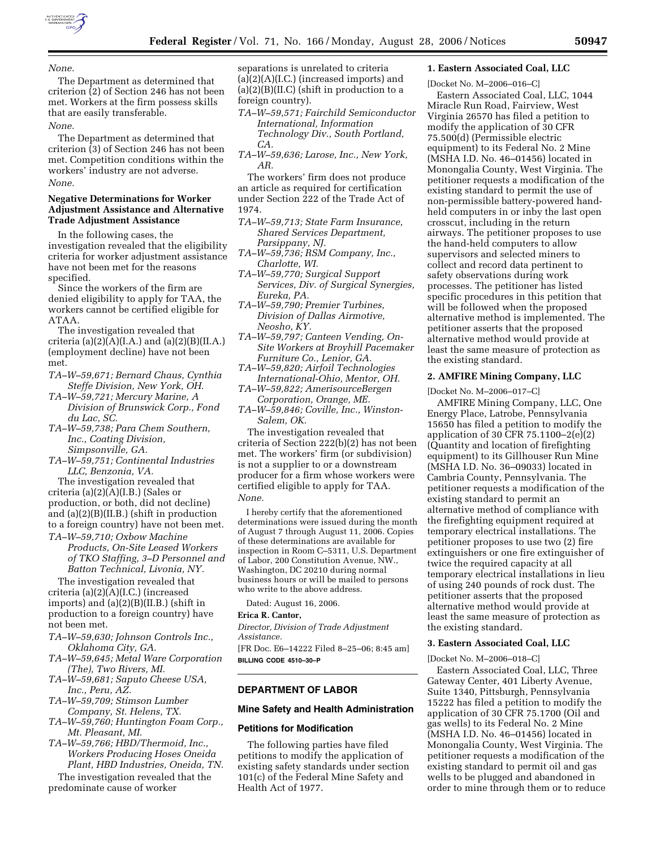

*None.* 

The Department as determined that criterion (2) of Section 246 has not been met. Workers at the firm possess skills that are easily transferable. *None.* 

The Department as determined that criterion (3) of Section 246 has not been met. Competition conditions within the workers' industry are not adverse. *None.* 

## **Negative Determinations for Worker Adjustment Assistance and Alternative Trade Adjustment Assistance**

In the following cases, the investigation revealed that the eligibility criteria for worker adjustment assistance have not been met for the reasons specified.

Since the workers of the firm are denied eligibility to apply for TAA, the workers cannot be certified eligible for ATAA.

The investigation revealed that criteria (a) $(2)(A)(I.A.)$  and (a) $(2)(B)(II.A.)$ (employment decline) have not been met.

- *TA–W–59,671; Bernard Chaus, Cynthia Steffe Division, New York, OH.*
- *TA–W–59,721; Mercury Marine, A Division of Brunswick Corp., Fond du Lac, SC.*
- *TA–W–59,738; Para Chem Southern, Inc., Coating Division, Simpsonville, GA.*
- *TA–W–59,751; Continental Industries LLC, Benzonia, VA.*

The investigation revealed that criteria (a)(2)(A)(I.B.) (Sales or production, or both, did not decline) and (a)(2)(B)(II.B.) (shift in production to a foreign country) have not been met.

*TA–W–59,710; Oxbow Machine Products, On-Site Leased Workers of TKO Staffing, 3–D Personnel and Batton Technical, Livonia, NY.* 

The investigation revealed that criteria (a)(2)(A)(I.C.) (increased imports) and (a)(2)(B)(II.B.) (shift in production to a foreign country) have not been met.

- *TA–W–59,630; Johnson Controls Inc., Oklahoma City, GA.*
- *TA–W–59,645; Metal Ware Corporation (The), Two Rivers, MI.*
- *TA–W–59,681; Saputo Cheese USA, Inc., Peru, AZ.*
- *TA–W–59,709; Stimson Lumber Company, St. Helens, TX.*
- *TA–W–59,760; Huntington Foam Corp., Mt. Pleasant, MI.*
- *TA–W–59,766; HBD/Thermoid, Inc., Workers Producing Hoses Oneida Plant, HBD Industries, Oneida, TN.*

The investigation revealed that the predominate cause of worker

separations is unrelated to criteria  $(a)(2)(A)(I.C.)$  (increased imports) and  $(a)(2)(B)(II.C)$  (shift in production to a foreign country).

- *TA–W–59,571; Fairchild Semiconductor International, Information Technology Div., South Portland, CA.*
- *TA–W–59,636; Larose, Inc., New York, AR.*

The workers' firm does not produce an article as required for certification under Section 222 of the Trade Act of 1974.

- *TA–W–59,713; State Farm Insurance, Shared Services Department, Parsippany, NJ.*
- *TA–W–59,736; RSM Company, Inc., Charlotte, WI.*
- *TA–W–59,770; Surgical Support Services, Div. of Surgical Synergies, Eureka, PA.*
- *TA–W–59,790; Premier Turbines, Division of Dallas Airmotive, Neosho, KY.*
- *TA–W–59,797; Canteen Vending, On-Site Workers at Broyhill Pacemaker Furniture Co., Lenior, GA.*
- *TA–W–59,820; Airfoil Technologies International-Ohio, Mentor, OH.*
- *TA–W–59,822; AmerisourceBergen Corporation, Orange, ME.*
- *TA–W–59,846; Coville, Inc., Winston-Salem, OK.*

The investigation revealed that criteria of Section 222(b)(2) has not been met. The workers' firm (or subdivision) is not a supplier to or a downstream producer for a firm whose workers were certified eligible to apply for TAA. *None.* 

I hereby certify that the aforementioned determinations were issued during the month of August 7 through August 11, 2006. Copies of these determinations are available for inspection in Room C–5311, U.S. Department of Labor, 200 Constitution Avenue, NW., Washington, DC 20210 during normal business hours or will be mailed to persons who write to the above address.

Dated: August 16, 2006.

## **Erica R. Cantor,**

*Director, Division of Trade Adjustment Assistance.* 

[FR Doc. E6–14222 Filed 8–25–06; 8:45 am] **BILLING CODE 4510–30–P** 

# **DEPARTMENT OF LABOR**

## **Mine Safety and Health Administration**

## **Petitions for Modification**

The following parties have filed petitions to modify the application of existing safety standards under section 101(c) of the Federal Mine Safety and Health Act of 1977.

# **1. Eastern Associated Coal, LLC**

[Docket No. M–2006–016–C]

Eastern Associated Coal, LLC, 1044 Miracle Run Road, Fairview, West Virginia 26570 has filed a petition to modify the application of 30 CFR 75.500(d) (Permissible electric equipment) to its Federal No. 2 Mine (MSHA I.D. No. 46–01456) located in Monongalia County, West Virginia. The petitioner requests a modification of the existing standard to permit the use of non-permissible battery-powered handheld computers in or inby the last open crosscut, including in the return airways. The petitioner proposes to use the hand-held computers to allow supervisors and selected miners to collect and record data pertinent to safety observations during work processes. The petitioner has listed specific procedures in this petition that will be followed when the proposed alternative method is implemented. The petitioner asserts that the proposed alternative method would provide at least the same measure of protection as the existing standard.

## **2. AMFIRE Mining Company, LLC**

[Docket No. M–2006–017–C]

AMFIRE Mining Company, LLC, One Energy Place, Latrobe, Pennsylvania 15650 has filed a petition to modify the application of 30 CFR 75.1100–2(e)(2) (Quantity and location of firefighting equipment) to its Gillhouser Run Mine (MSHA I.D. No. 36–09033) located in Cambria County, Pennsylvania. The petitioner requests a modification of the existing standard to permit an alternative method of compliance with the firefighting equipment required at temporary electrical installations. The petitioner proposes to use two (2) fire extinguishers or one fire extinguisher of twice the required capacity at all temporary electrical installations in lieu of using 240 pounds of rock dust. The petitioner asserts that the proposed alternative method would provide at least the same measure of protection as the existing standard.

#### **3. Eastern Associated Coal, LLC**

[Docket No. M–2006–018–C]

Eastern Associated Coal, LLC, Three Gateway Center, 401 Liberty Avenue, Suite 1340, Pittsburgh, Pennsylvania 15222 has filed a petition to modify the application of 30 CFR 75.1700 (Oil and gas wells) to its Federal No. 2 Mine (MSHA I.D. No. 46–01456) located in Monongalia County, West Virginia. The petitioner requests a modification of the existing standard to permit oil and gas wells to be plugged and abandoned in order to mine through them or to reduce